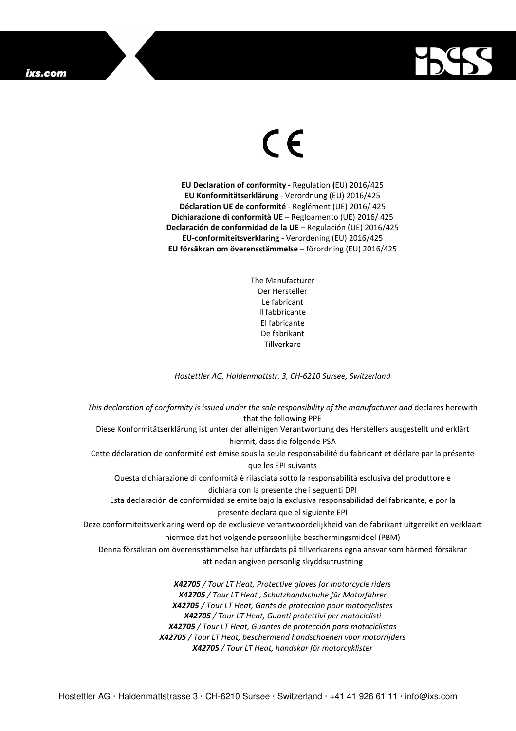## ixs.com



## $\in$

**EU Declaration of conformity -** Regulation **(**EU) 2016/425 **EU Konformitätserklärung** - Verordnung (EU) 2016/425 **Déclaration UE de conformité** - Reglément (UE) 2016/ 425 **Dichiarazione di conformità UE** – Regloamento (UE) 2016/ 425 **Declaración de conformidad de la UE** – Regulación (UE) 2016/425 **EU-conformiteitsverklaring** - Verordening (EU) 2016/425 **EU försäkran om överensstämmelse** – förordning (EU) 2016/425

> The Manufacturer Der Hersteller Le fabricant Il fabbricante El fabricante De fabrikant **Tillverkare**

*Hostettler AG, Haldenmattstr. 3, CH-6210 Sursee, Switzerland* 

*This declaration of conformity is issued under the sole responsibility of the manufacturer and* declares herewith that the following PPE Diese Konformitätserklärung ist unter der alleinigen Verantwortung des Herstellers ausgestellt und erklärt hiermit, dass die folgende PSA Cette déclaration de conformité est émise sous la seule responsabilité du fabricant et déclare par la présente que les EPI suivants Questa dichiarazione di conformità è rilasciata sotto la responsabilità esclusiva del produttore e dichiara con la presente che i seguenti DPI Esta declaración de conformidad se emite bajo la exclusiva responsabilidad del fabricante, e por la presente declara que el siguiente EPI Deze conformiteitsverklaring werd op de exclusieve verantwoordelijkheid van de fabrikant uitgereikt en verklaart hiermee dat het volgende persoonlijke beschermingsmiddel (PBM) Denna försäkran om överensstämmelse har utfärdats på tillverkarens egna ansvar som härmed försäkrar att nedan angiven personlig skyddsutrustning *X42705 / Tour LT Heat, Protective gloves for motorcycle riders X42705 / Tour LT Heat , Schutzhandschuhe für Motorfahrer X42705 / Tour LT Heat, Gants de protection pour motocyclistes X42705 / Tour LT Heat, Guanti protettivi per motociclisti X42705 / Tour LT Heat, Guantes de protección para motociclistas X42705 / Tour LT Heat, beschermend handschoenen voor motorrijders* 

*X42705 / Tour LT Heat, handskar för motorcyklister*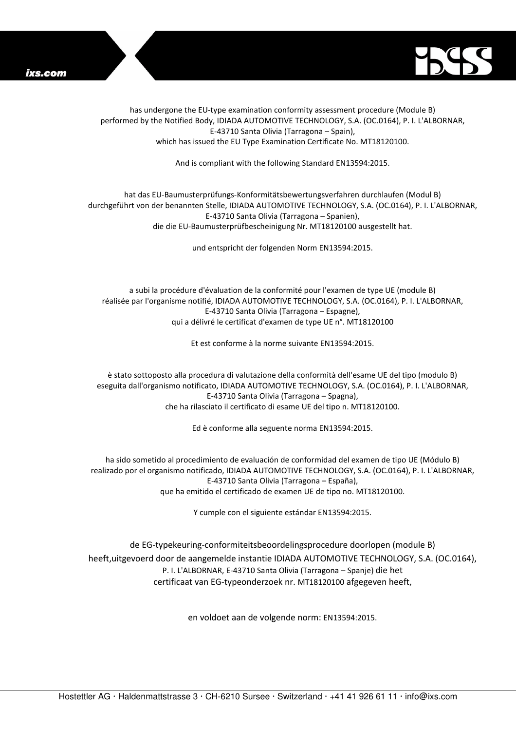



has undergone the EU-type examination conformity assessment procedure (Module B) performed by the Notified Body, IDIADA AUTOMOTIVE TECHNOLOGY, S.A. (OC.0164), P. I. L'ALBORNAR, E-43710 Santa Olivia (Tarragona – Spain), which has issued the EU Type Examination Certificate No. MT18120100.

And is compliant with the following Standard EN13594:2015.

## hat das EU-Baumusterprüfungs-Konformitätsbewertungsverfahren durchlaufen (Modul B) durchgeführt von der benannten Stelle, IDIADA AUTOMOTIVE TECHNOLOGY, S.A. (OC.0164), P. I. L'ALBORNAR, E-43710 Santa Olivia (Tarragona – Spanien), die die EU-Baumusterprüfbescheinigung Nr. MT18120100 ausgestellt hat.

und entspricht der folgenden Norm EN13594:2015.

a subi la procédure d'évaluation de la conformité pour l'examen de type UE (module B) réalisée par l'organisme notifié, IDIADA AUTOMOTIVE TECHNOLOGY, S.A. (OC.0164), P. I. L'ALBORNAR, E-43710 Santa Olivia (Tarragona – Espagne), qui a délivré le certificat d'examen de type UE n°. MT18120100

Et est conforme à la norme suivante EN13594:2015.

è stato sottoposto alla procedura di valutazione della conformità dell'esame UE del tipo (modulo B) eseguita dall'organismo notificato, IDIADA AUTOMOTIVE TECHNOLOGY, S.A. (OC.0164), P. I. L'ALBORNAR, E-43710 Santa Olivia (Tarragona – Spagna), che ha rilasciato il certificato di esame UE del tipo n. MT18120100.

Ed è conforme alla seguente norma EN13594:2015.

ha sido sometido al procedimiento de evaluación de conformidad del examen de tipo UE (Módulo B) realizado por el organismo notificado, IDIADA AUTOMOTIVE TECHNOLOGY, S.A. (OC.0164), P. I. L'ALBORNAR, E-43710 Santa Olivia (Tarragona – España), que ha emitido el certificado de examen UE de tipo no. MT18120100.

Y cumple con el siguiente estándar EN13594:2015.

de EG-typekeuring-conformiteitsbeoordelingsprocedure doorlopen (module B) heeft,uitgevoerd door de aangemelde instantie IDIADA AUTOMOTIVE TECHNOLOGY, S.A. (OC.0164), P. I. L'ALBORNAR, E-43710 Santa Olivia (Tarragona – Spanje) die het certificaat van EG-typeonderzoek nr. MT18120100 afgegeven heeft,

en voldoet aan de volgende norm: EN13594:2015.